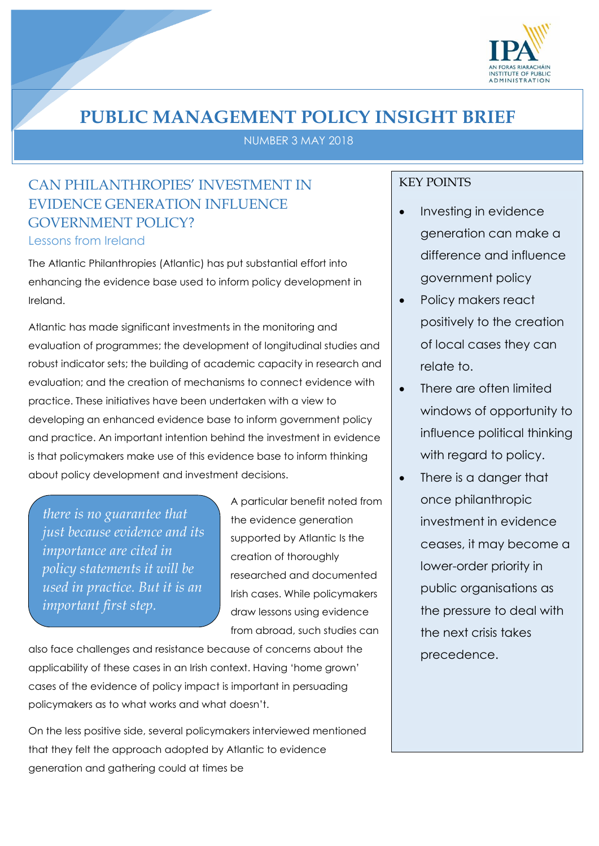

# **PUBLIC MANAGEMENT POLICY INSIGHT BRIEF**

NUMBER 3 MAY 2018

## CAN PHILANTHROPIES' INVESTMENT IN EVIDENCE GENERATION INFLUENCE GOVERNMENT POLICY?

Lessons from Ireland

The Atlantic Philanthropies (Atlantic) has put substantial effort into enhancing the evidence base used to inform policy development in Ireland.

Atlantic has made significant investments in the monitoring and evaluation of programmes; the development of longitudinal studies and robust indicator sets; the building of academic capacity in research and evaluation; and the creation of mechanisms to connect evidence with practice. These initiatives have been undertaken with a view to developing an enhanced evidence base to inform government policy and practice. An important intention behind the investment in evidence is that policymakers make use of this evidence base to inform thinking about policy development and investment decisions.

*there is no guarantee that just because evidence and its importance are cited in policy statements it will be used in practice. But it is an important first step.*

A particular benefit noted from the evidence generation supported by Atlantic Is the creation of thoroughly researched and documented Irish cases. While policymakers draw lessons using evidence from abroad, such studies can

also face challenges and resistance because of concerns about the applicability of these cases in an Irish context. Having 'home grown' cases of the evidence of policy impact is important in persuading policymakers as to what works and what doesn't.

On the less positive side, several policymakers interviewed mentioned that they felt the approach adopted by Atlantic to evidence generation and gathering could at times be

### KEY POINTS

- Investing in evidence generation can make a difference and influence government policy
- Policy makers react positively to the creation of local cases they can relate to.
- There are often limited windows of opportunity to influence political thinking with regard to policy.
- There is a danger that once philanthropic investment in evidence ceases, it may become a lower-order priority in public organisations as the pressure to deal with the next crisis takes precedence.